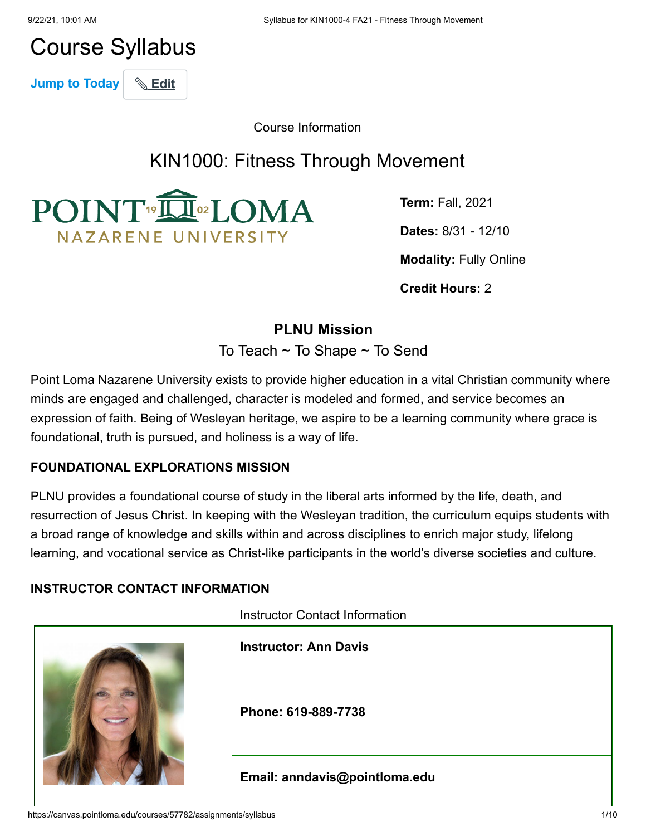# Course Syllabus

**Jump to Today** & Edit

Course Information

# KIN1000: Fitness Through Movement



**Term:** Fall, 2021 **Dates:** 8/31 - 12/10 **Modality:** Fully Online

**Credit Hours:** 2

# **PLNU Mission**

To Teach ~ To Shape ~ To Send

Point Loma Nazarene University exists to provide higher education in a vital Christian community where minds are engaged and challenged, character is modeled and formed, and service becomes an expression of faith. Being of Wesleyan heritage, we aspire to be a learning community where grace is foundational, truth is pursued, and holiness is a way of life.

#### **FOUNDATIONAL EXPLORATIONS MISSION**

PLNU provides a foundational course of study in the liberal arts informed by the life, death, and resurrection of Jesus Christ. In keeping with the Wesleyan tradition, the curriculum equips students with a broad range of knowledge and skills within and across disciplines to enrich major study, lifelong learning, and vocational service as Christ-like participants in the world's diverse societies and culture.

#### **INSTRUCTOR CONTACT INFORMATION**

Instructor Contact Information

|  | <b>Instructor: Ann Davis</b>  |
|--|-------------------------------|
|  | Phone: 619-889-7738           |
|  | Email: anndavis@pointloma.edu |

https://canvas.pointloma.edu/courses/57782/assignments/syllabus 1/10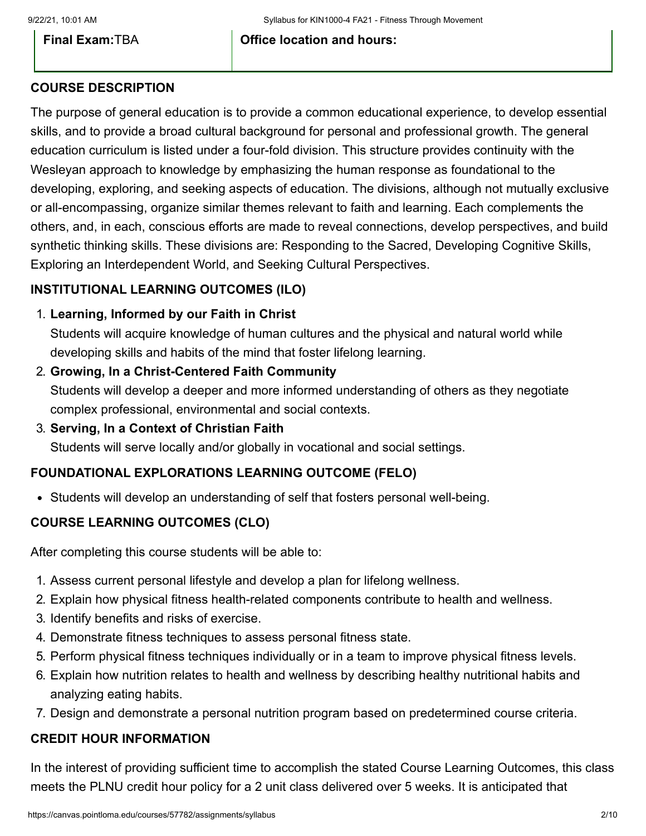**Final Exam:**TBA **Office location and hours:**

#### **COURSE DESCRIPTION**

The purpose of general education is to provide a common educational experience, to develop essential skills, and to provide a broad cultural background for personal and professional growth. The general education curriculum is listed under a four-fold division. This structure provides continuity with the Wesleyan approach to knowledge by emphasizing the human response as foundational to the developing, exploring, and seeking aspects of education. The divisions, although not mutually exclusive or all-encompassing, organize similar themes relevant to faith and learning. Each complements the others, and, in each, conscious efforts are made to reveal connections, develop perspectives, and build synthetic thinking skills. These divisions are: Responding to the Sacred, Developing Cognitive Skills, Exploring an Interdependent World, and Seeking Cultural Perspectives.

# **INSTITUTIONAL LEARNING OUTCOMES (ILO)**

1. **Learning, Informed by our Faith in Christ**

Students will acquire knowledge of human cultures and the physical and natural world while developing skills and habits of the mind that foster lifelong learning.

- 2. **Growing, In a Christ-Centered Faith Community** Students will develop a deeper and more informed understanding of others as they negotiate complex professional, environmental and social contexts.
- 3. **Serving, In a Context of Christian Faith**

Students will serve locally and/or globally in vocational and social settings.

#### **FOUNDATIONAL EXPLORATIONS LEARNING OUTCOME (FELO)**

Students will develop an understanding of self that fosters personal well-being.

#### **COURSE LEARNING OUTCOMES (CLO)**

After completing this course students will be able to:

- 1. Assess current personal lifestyle and develop a plan for lifelong wellness.
- 2. Explain how physical fitness health-related components contribute to health and wellness.
- 3. Identify benefits and risks of exercise.
- 4. Demonstrate fitness techniques to assess personal fitness state.
- 5. Perform physical fitness techniques individually or in a team to improve physical fitness levels.
- 6. Explain how nutrition relates to health and wellness by describing healthy nutritional habits and analyzing eating habits.
- 7. Design and demonstrate a personal nutrition program based on predetermined course criteria.

#### **CREDIT HOUR INFORMATION**

In the interest of providing sufficient time to accomplish the stated Course Learning Outcomes, this class meets the PLNU credit hour policy for a 2 unit class delivered over 5 weeks. It is anticipated that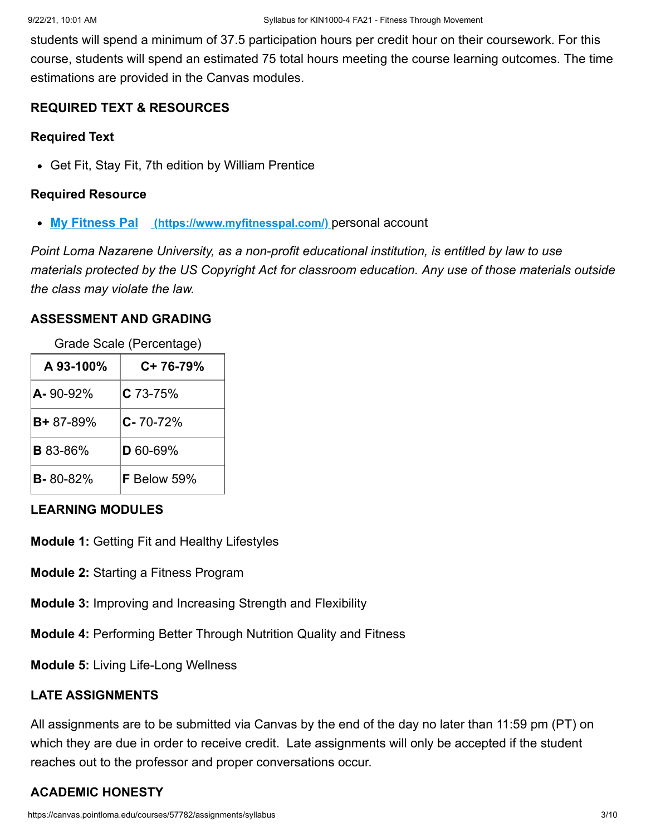students will spend a minimum of 37.5 participation hours per credit hour on their coursework. For this course, students will spend an estimated 75 total hours meeting the course learning outcomes. The time estimations are provided in the Canvas modules.

#### **REQUIRED TEXT & RESOURCES**

#### **Required Text**

Get Fit, Stay Fit, 7th edition by William Prentice

#### **Required Resource**

**My Fitness Pal [\(https://www.myfitnesspal.com/\)](https://www.myfitnesspal.com/)** personal account

*Point Loma Nazarene University, as a non-profit educational institution, is entitled by law to use materials protected by the US Copyright Act for classroom education. Any use of those materials outside the class may violate the law.*

#### **ASSESSMENT AND GRADING**

Grade Scale (Percentage)

| A 93-100%       | C+ 76-79%      |
|-----------------|----------------|
| A-90-92%        | $C$ 73-75%     |
| $B + 87 - 89%$  | $C - 70 - 72%$ |
| <b>B</b> 83-86% | $D$ 60-69%     |
| $B - 80 - 82%$  | F Below 59%    |

#### **LEARNING MODULES**

**Module 1:** Getting Fit and Healthy Lifestyles

- **Module 2:** Starting a Fitness Program
- **Module 3:** Improving and Increasing Strength and Flexibility
- **Module 4:** Performing Better Through Nutrition Quality and Fitness

**Module 5:** Living Life-Long Wellness

#### **LATE ASSIGNMENTS**

All assignments are to be submitted via Canvas by the end of the day no later than 11:59 pm (PT) on which they are due in order to receive credit. Late assignments will only be accepted if the student reaches out to the professor and proper conversations occur.

# **ACADEMIC HONESTY**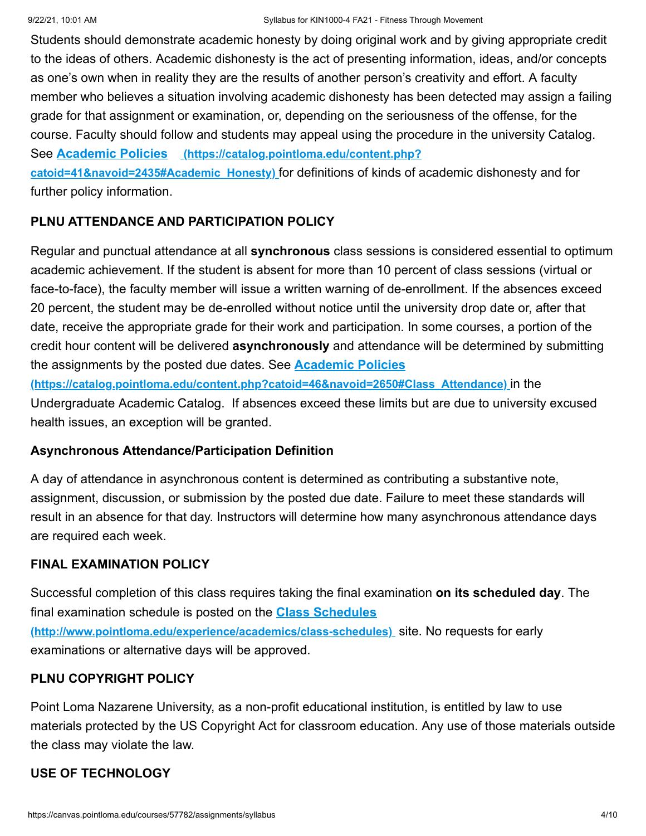Students should demonstrate academic honesty by doing original work and by giving appropriate credit to the ideas of others. Academic dishonesty is the act of presenting information, ideas, and/or concepts as one's own when in reality they are the results of another person's creativity and effort. A faculty member who believes a situation involving academic dishonesty has been detected may assign a failing grade for that assignment or examination, or, depending on the seriousness of the offense, for the course. Faculty should follow and students may appeal using the procedure in the university Catalog. See **Academic Policies (https://catalog.pointloma.edu/content.php? [catoid=41&navoid=2435#Academic\\_Honesty\)](https://catalog.pointloma.edu/content.php?catoid=41&navoid=2435#Academic_Honesty)** for definitions of kinds of academic dishonesty and for

further policy information.

#### **PLNU ATTENDANCE AND PARTICIPATION POLICY**

Regular and punctual attendance at all **synchronous** class sessions is considered essential to optimum academic achievement. If the student is absent for more than 10 percent of class sessions (virtual or face-to-face), the faculty member will issue a written warning of de-enrollment. If the absences exceed 20 percent, the student may be de-enrolled without notice until the university drop date or, after that date, receive the appropriate grade for their work and participation. In some courses, a portion of the credit hour content will be delivered **asynchronously** and attendance will be determined by submitting the assignments by the posted due dates. See **Academic Policies**

**[\(https://catalog.pointloma.edu/content.php?catoid=46&navoid=2650#Class\\_Attendance\)](https://catalog.pointloma.edu/content.php?catoid=46&navoid=2650#Class_Attendance)** in the Undergraduate Academic Catalog. If absences exceed these limits but are due to university excused health issues, an exception will be granted.

#### **Asynchronous Attendance/Participation Definition**

A day of attendance in asynchronous content is determined as contributing a substantive note, assignment, discussion, or submission by the posted due date. Failure to meet these standards will result in an absence for that day. Instructors will determine how many asynchronous attendance days are required each week.

#### **FINAL EXAMINATION POLICY**

Successful completion of this class requires taking the final examination **on its scheduled day**. The final examination schedule is posted on the **Class Schedules [\(http://www.pointloma.edu/experience/academics/class-schedules\)](http://www.pointloma.edu/experience/academics/class-schedules)** site. No requests for early examinations or alternative days will be approved.

#### **PLNU COPYRIGHT POLICY**

Point Loma Nazarene University, as a non-profit educational institution, is entitled by law to use materials protected by the US Copyright Act for classroom education. Any use of those materials outside the class may violate the law.

#### **USE OF TECHNOLOGY**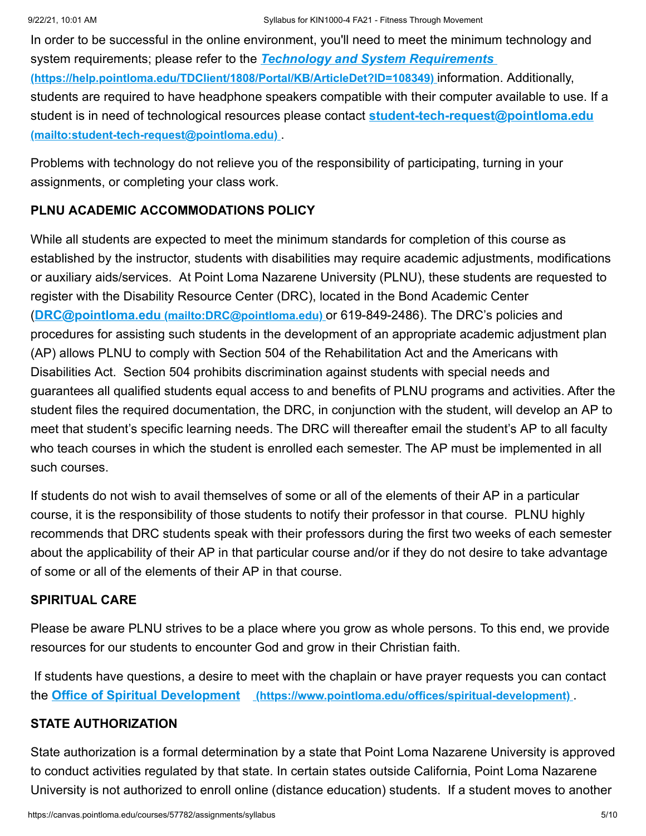In order to be successful in the online environment, you'll need to meet the minimum technology and system requirements; please refer to the *Technology and System Requirements*  **[\(https://help.pointloma.edu/TDClient/1808/Portal/KB/ArticleDet?ID=108349\)](https://help.pointloma.edu/TDClient/1808/Portal/KB/ArticleDet?ID=108349)** information. Additionally, students are required to have headphone speakers compatible with their computer available to use. If a [student is in need of technological resources please contact](mailto:student-tech-request@pointloma.edu) **student-tech-request@pointloma.edu (mailto:student-tech-request@pointloma.edu)** .

Problems with technology do not relieve you of the responsibility of participating, turning in your assignments, or completing your class work.

# **PLNU ACADEMIC ACCOMMODATIONS POLICY**

While all students are expected to meet the minimum standards for completion of this course as established by the instructor, students with disabilities may require academic adjustments, modifications or auxiliary aids/services. At Point Loma Nazarene University (PLNU), these students are requested to register with the Disability Resource Center (DRC), located in the Bond Academic Center (**DRC@pointloma.edu [\(mailto:DRC@pointloma.edu\)](mailto:DRC@pointloma.edu)** or 619-849-2486). The DRC's policies and procedures for assisting such students in the development of an appropriate academic adjustment plan (AP) allows PLNU to comply with Section 504 of the Rehabilitation Act and the Americans with Disabilities Act. Section 504 prohibits discrimination against students with special needs and guarantees all qualified students equal access to and benefits of PLNU programs and activities. After the student files the required documentation, the DRC, in conjunction with the student, will develop an AP to meet that student's specific learning needs. The DRC will thereafter email the student's AP to all faculty who teach courses in which the student is enrolled each semester. The AP must be implemented in all such courses.

If students do not wish to avail themselves of some or all of the elements of their AP in a particular course, it is the responsibility of those students to notify their professor in that course. PLNU highly recommends that DRC students speak with their professors during the first two weeks of each semester about the applicability of their AP in that particular course and/or if they do not desire to take advantage of some or all of the elements of their AP in that course.

# **SPIRITUAL CARE**

Please be aware PLNU strives to be a place where you grow as whole persons. To this end, we provide resources for our students to encounter God and grow in their Christian faith.

If students have questions, a desire to meet with the chaplain or have prayer requests you can contact the **Office of Spiritual Development [\(https://www.pointloma.edu/offices/spiritual-development\)](https://www.pointloma.edu/offices/spiritual-development)** .

# **STATE AUTHORIZATION**

State authorization is a formal determination by a state that Point Loma Nazarene University is approved to conduct activities regulated by that state. In certain states outside California, Point Loma Nazarene University is not authorized to enroll online (distance education) students. If a student moves to another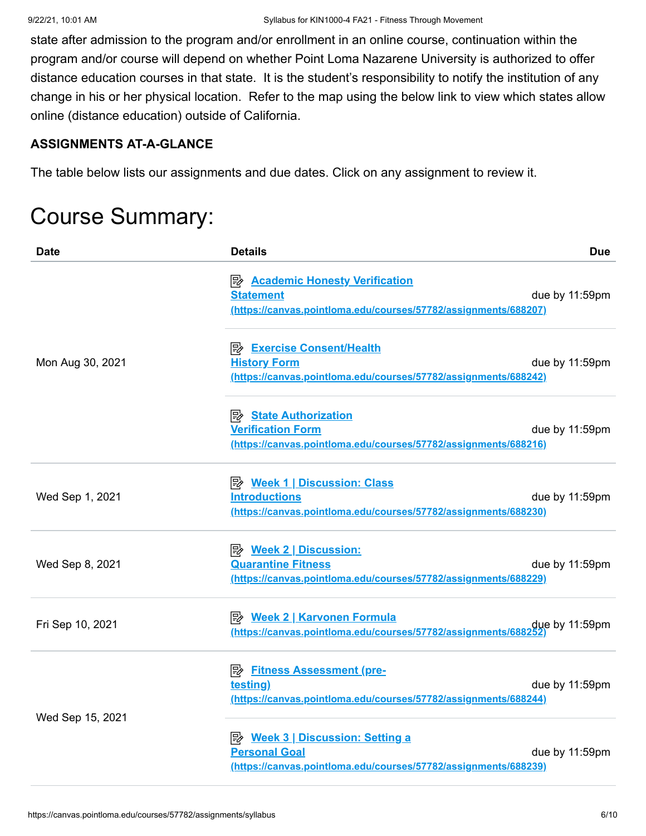state after admission to the program and/or enrollment in an online course, continuation within the program and/or course will depend on whether Point Loma Nazarene University is authorized to offer distance education courses in that state. It is the student's responsibility to notify the institution of any change in his or her physical location. Refer to the map using the below link to view which states allow online (distance education) outside of California.

#### **ASSIGNMENTS AT-A-GLANCE**

The table below lists our assignments and due dates. Click on any assignment to review it.

# Course Summary:

| Date             | <b>Details</b>                                                                                                                     | <b>Due</b>     |
|------------------|------------------------------------------------------------------------------------------------------------------------------------|----------------|
|                  | <b>E</b> Academic Honesty Verification<br><b>Statement</b><br>(https://canvas.pointloma.edu/courses/57782/assignments/688207)      | due by 11:59pm |
| Mon Aug 30, 2021 | <b>B</b> Exercise Consent/Health<br><b>History Form</b><br>(https://canvas.pointloma.edu/courses/57782/assignments/688242)         | due by 11:59pm |
|                  | <b>B</b> State Authorization<br><b>Verification Form</b><br>(https://canvas.pointloma.edu/courses/57782/assignments/688216)        | due by 11:59pm |
| Wed Sep 1, 2021  | <b>B</b> Week 1   Discussion: Class<br><b>Introductions</b><br>(https://canvas.pointloma.edu/courses/57782/assignments/688230)     | due by 11:59pm |
| Wed Sep 8, 2021  | <b>Quarantine Fitness</b><br>(https://canvas.pointloma.edu/courses/57782/assignments/688229)                                       | due by 11:59pm |
| Fri Sep 10, 2021 | due by 11:59pm (https://canvas.pointloma.edu/courses/57782/assignments/688252)                                                     |                |
|                  | <b>By</b> Fitness Assessment (pre-<br>testing)<br>(https://canvas.pointloma.edu/courses/57782/assignments/688244)                  | due by 11:59pm |
| Wed Sep 15, 2021 | <b>B</b> Week 3   Discussion: Setting a<br><b>Personal Goal</b><br>(https://canvas.pointloma.edu/courses/57782/assignments/688239) | due by 11:59pm |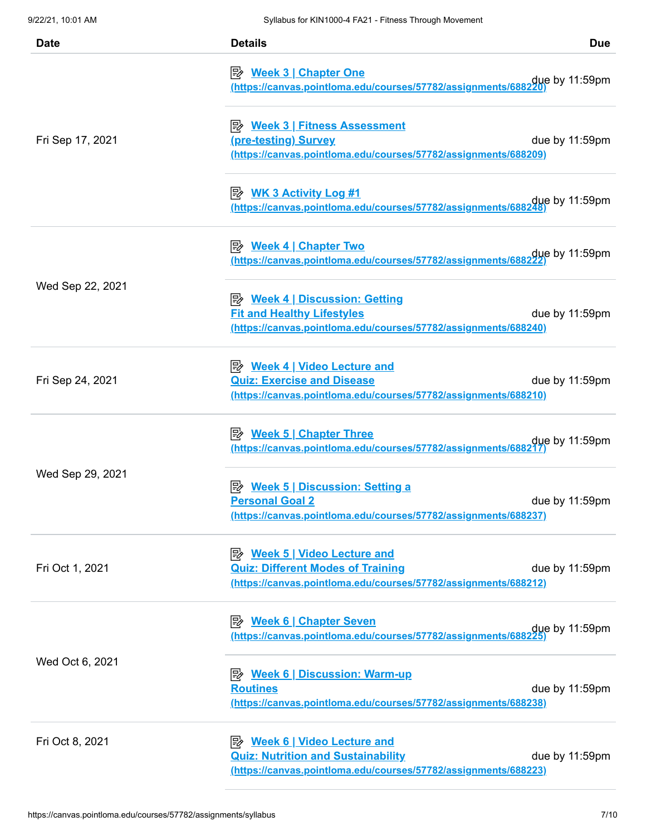| <b>Date</b>      | <b>Details</b>                                                                                                                                     | <b>Due</b>     |
|------------------|----------------------------------------------------------------------------------------------------------------------------------------------------|----------------|
|                  | <u>≫ Week 3   Chapter One</u><br>due by 11:59pm.<br><u>(https://canvas.pointloma.edu/courses/57782/assignments/688220)</u>                         |                |
| Fri Sep 17, 2021 | (pre-testing) Survey<br>(https://canvas.pointloma.edu/courses/57782/assignments/688209)                                                            | due by 11:59pm |
|                  | due by 11:59pm .<br><u>(https://canvas.pointloma.edu/courses/57782/assignments/688248)</u>                                                         |                |
|                  | <u>≫ Week 4   Chapter Two</u><br>due by 11:59pm .<br><u>(https://canvas.pointloma.edu/courses/57782/assignments/688222)</u>                        |                |
| Wed Sep 22, 2021 | <b>B</b> Week 4   Discussion: Getting<br><b>Fit and Healthy Lifestyles</b><br>(https://canvas.pointloma.edu/courses/57782/assignments/688240)      | due by 11:59pm |
| Fri Sep 24, 2021 | <u>≫ Week 4   Video Lecture and</u><br><b>Quiz: Exercise and Disease</b><br>(https://canvas.pointloma.edu/courses/57782/assignments/688210)        | due by 11:59pm |
|                  | due by 11:59pm.<br><u>(https://canvas.pointIoma.edu/courses/57782/assignments/688217)</u>                                                          |                |
| Wed Sep 29, 2021 | <u>≫ Week 5   Discussion: Setting a</u><br><b>Personal Goal 2</b><br>(https://canvas.pointloma.edu/courses/57782/assignments/688237)               | due by 11:59pm |
| Fri Oct 1, 2021  | <b>B</b> Week 5   Video Lecture and<br><b>Quiz: Different Modes of Training</b><br>(https://canvas.pointloma.edu/courses/57782/assignments/688212) | due by 11:59pm |
| Wed Oct 6, 2021  | <b>B</b> Week 6   Chapter Seven<br>due by 11:59pm (https://canvas.pointloma.edu/courses/57782/assignments/688225)                                  |                |
|                  | <b>Routines</b><br>(https://canvas.pointloma.edu/courses/57782/assignments/688238)                                                                 | due by 11:59pm |
| Fri Oct 8, 2021  | <b>Quiz: Nutrition and Sustainability</b><br>(https://canvas.pointloma.edu/courses/57782/assignments/688223)                                       | due by 11:59pm |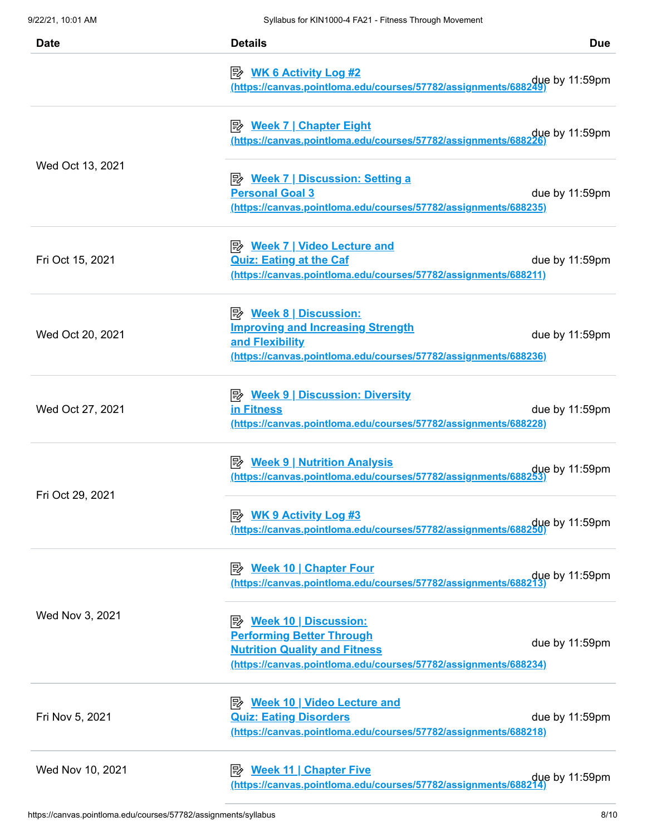| <b>Date</b>      | <b>Details</b><br><b>Due</b>                                                                                                                                                                                                |
|------------------|-----------------------------------------------------------------------------------------------------------------------------------------------------------------------------------------------------------------------------|
|                  | <b>E</b> WK 6 Activity Log #2<br>due by 11:59pm due thttps://canvas.pointloma.edu/courses/57782/assignments/688249)                                                                                                         |
|                  | <b>Week 7   Chapter Eight</b><br>due by 11:59pm<br>(https://canvas.pointloma.edu/courses/57782/assignments/688226                                                                                                           |
| Wed Oct 13, 2021 | <b>B</b> Week 7   Discussion: Setting a<br><b>Personal Goal 3</b><br>due by 11:59pm<br>(https://canvas.pointloma.edu/courses/57782/assignments/688235)                                                                      |
| Fri Oct 15, 2021 | <u> <i>Week 7</i>   Video Lecture and</u><br><b>Quiz: Eating at the Caf</b><br>due by 11:59pm<br>(https://canvas.pointloma.edu/courses/57782/assignments/688211)                                                            |
| Wed Oct 20, 2021 | <b>Improving and Increasing Strength</b><br>due by 11:59pm<br>and Flexibility<br>(https://canvas.pointloma.edu/courses/57782/assignments/688236)                                                                            |
| Wed Oct 27, 2021 | in Fitness<br>due by 11:59pm<br>(https://canvas.pointloma.edu/courses/57782/assignments/688228)                                                                                                                             |
| Fri Oct 29, 2021 | <b>B</b> Week 9   Nutrition Analysis<br>due by 11:59pm (https://canvas.pointloma.edu/courses/57782/assignments/688253)                                                                                                      |
|                  | due by 11:59pm (https://canvas.pointloma.edu/courses/57782/assignments/688250)                                                                                                                                              |
| Wed Nov 3, 2021  | <b>B</b> Week 10   Chapter Four<br>due by 11:59pm<br>(https://canvas.pointloma.edu/courses/57782/assignments/688213                                                                                                         |
|                  | <b>Performing Better Through</b><br>due by 11:59pm<br><b>Nutrition Quality and Fitness</b><br>(https://canvas.pointloma.edu/courses/57782/assignments/688234)                                                               |
| Fri Nov 5, 2021  | <u>≫ Week 10   Video Lecture and</u><br><b>Quiz: Eating Disorders</b><br>due by 11:59pm<br>(https://canvas.pointloma.edu/courses/57782/assignments/688218)                                                                  |
| Wed Nov 10, 2021 | <u> <i>Week 11</i>   Chapter Five</u><br>due by 11:59pm due to the state of the state of the state of the state of the state of the state of the state o<br>(https://canvas.pointloma.edu/courses/57782/assignments/688214) |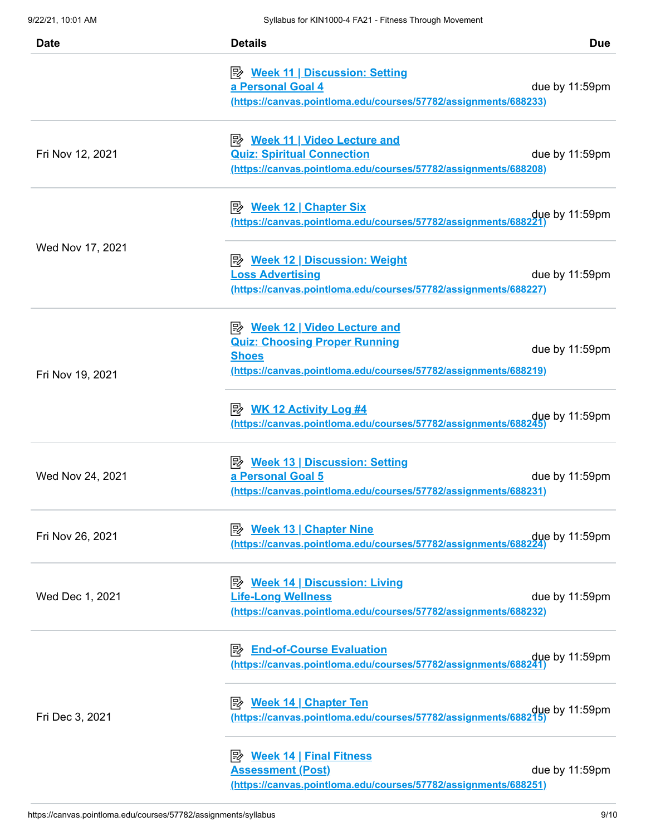| <b>Date</b>      | <b>Details</b>                                                                                                                               | <b>Due</b>     |
|------------------|----------------------------------------------------------------------------------------------------------------------------------------------|----------------|
|                  | a Personal Goal 4<br>(https://canvas.pointloma.edu/courses/57782/assignments/688233)                                                         | due by 11:59pm |
| Fri Nov 12, 2021 | <u>≫ Week 11   Video Lecture and</u><br><b>Quiz: Spiritual Connection</b><br>(https://canvas.pointloma.edu/courses/57782/assignments/688208) | due by 11:59pm |
| Wed Nov 17, 2021 | https://canvas.pointloma.edu/courses/57782/assignments/688221                                                                                | due by 11:59pm |
|                  | <b>Loss Advertising</b><br>(https://canvas.pointloma.edu/courses/57782/assignments/688227)                                                   | due by 11:59pm |
| Fri Nov 19, 2021 | <b>Quiz: Choosing Proper Running</b><br><b>Shoes</b><br>(https://canvas.pointloma.edu/courses/57782/assignments/688219)                      | due by 11:59pm |
|                  | $\Rightarrow$ WK 12 Activity Log #4<br>https://canvas.pointloma.edu/courses/57782/assignments/688245                                         | due by 11:59pm |
| Wed Nov 24, 2021 | a Personal Goal 5<br>(https://canvas.pointloma.edu/courses/57782/assignments/688231)                                                         | due by 11:59pm |
| Fri Nov 26, 2021 | <b>B</b> Week 13   Chapter Nine<br>https://canvas.pointloma.edu/courses/57782/assignments/688224                                             | due by 11:59pm |
| Wed Dec 1, 2021  | <b>Life-Long Wellness</b><br>(https://canvas.pointloma.edu/courses/57782/assignments/688232)                                                 | due by 11:59pm |
| Fri Dec 3, 2021  | <b>End-of-Course Evaluation</b><br>ぽ<br>https://canvas.pointloma.edu/courses/57782/assignments/688241                                        | due by 11:59pm |
|                  | <b>B</b> Week 14   Chapter Ten<br>due by 11:59pm due thttps://canvas.pointloma.edu/courses/57782/assignments/688215)                         |                |
|                  | <u>≫ Week 14   Final Fitness</u><br><b>Assessment (Post)</b><br>(https://canvas.pointloma.edu/courses/57782/assignments/688251)              | due by 11:59pm |